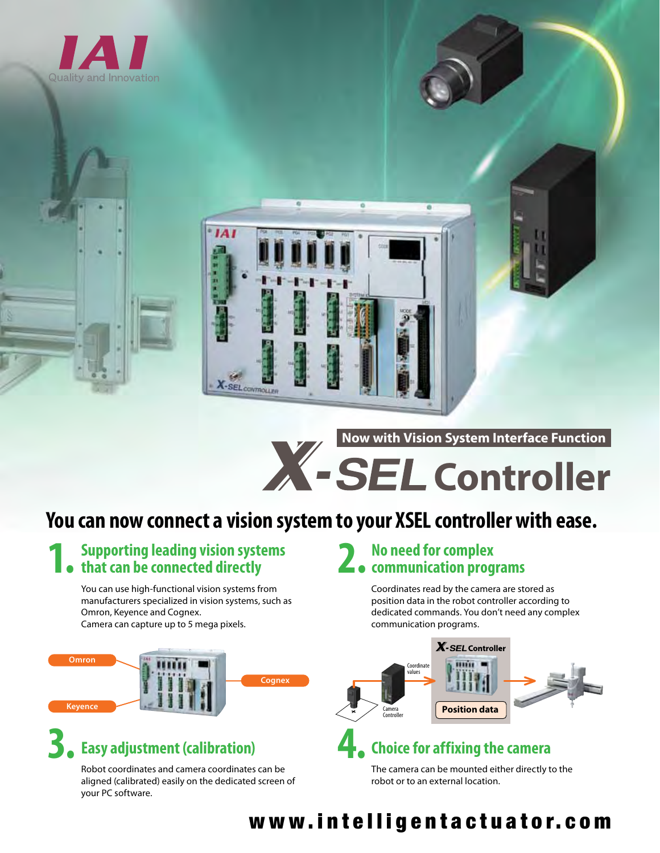



**Now with Vision System Interface Function**

# **X**-SEL Controller

## **You can now connect a vision system to your XSEL controller with ease.**

SEL CONTROLLER

## **1. Supporting leading vision systems that can be connected directly**

You can use high-functional vision systems from manufacturers specialized in vision systems, such as Omron, Keyence and Cognex. Camera can capture up to 5 mega pixels.



## **3. Easy adjustment (calibration)**

Robot coordinates and camera coordinates can be aligned (calibrated) easily on the dedicated screen of your PC software.

## **2. No need for complex communication programs**

Coordinates read by the camera are stored as position data in the robot controller according to dedicated commands. You don't need any complex communication programs.



### **4. Choice for affixing the camera**

The camera can be mounted either directly to the robot or to an external location.

### www.intelligentactuator.com